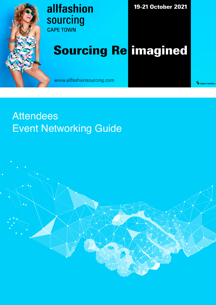

#### allfashion sourcing **CAPE TOWN**

19-21 October 2021

# **Sourcing Re imagined**

www.allfashionsourcing.com

<sup>→</sup> messe frankfurt

#### **Attendees Event Networking Guide**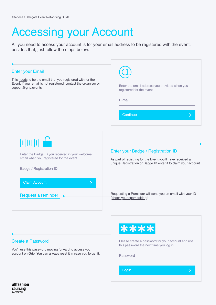### Accessing your Account

All you need to access your account is for your email address to be registered with the event, besides that, just follow the steps below.

| <b>Enter your Email</b>                                                                                                                                      | Enter the email address you provided when you                                                                                                                       |
|--------------------------------------------------------------------------------------------------------------------------------------------------------------|---------------------------------------------------------------------------------------------------------------------------------------------------------------------|
| This needs to be the email that you registered with for the                                                                                                  | registered for the event                                                                                                                                            |
| Event. If your email is not registered, contact the organiser or                                                                                             | E-mail                                                                                                                                                              |
| support@grip.events                                                                                                                                          | Continue                                                                                                                                                            |
| $\mathbb{H} \mathbb{H} \mathbb{H}$<br>Enter the Badge ID you received in your welcome<br>email when you registered for the event.<br>Badge / Registration ID | Enter your Badge / Registration ID<br>As part of registring for the Event you'll have received a<br>unique Registration or Badge ID enter it to claim your account. |
| <b>Claim Account</b>                                                                                                                                         | Requesting a Reminder will send you an email with your ID                                                                                                           |
| Request a reminder                                                                                                                                           | (check your spam folder)!                                                                                                                                           |

#### Create a Password

You'll use this password moving forward to access your account on Grip. You can always reset it in case you forget it.



Please create a password for your account and use this password the next time you log in.

Password

Login